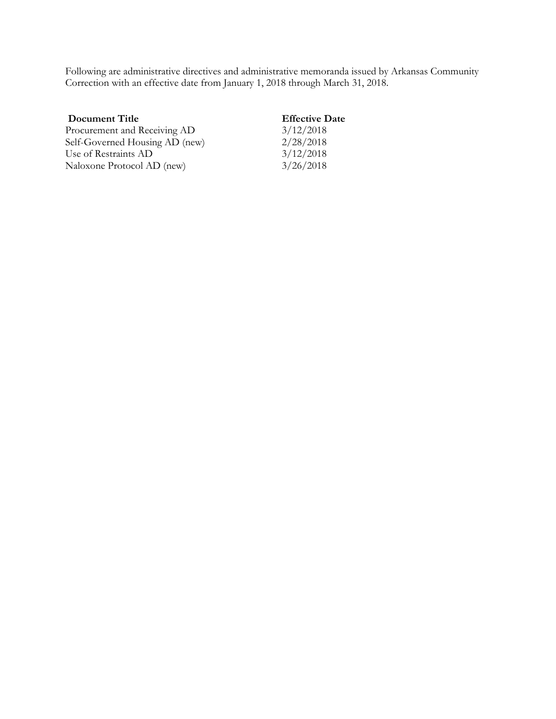Following are administrative directives and administrative memoranda issued by Arkansas Community Correction with an effective date from January 1, 2018 through March 31, 2018.

| <b>Effective Date</b> |
|-----------------------|
| 3/12/2018             |
| 2/28/2018             |
| 3/12/2018             |
| 3/26/2018             |
|                       |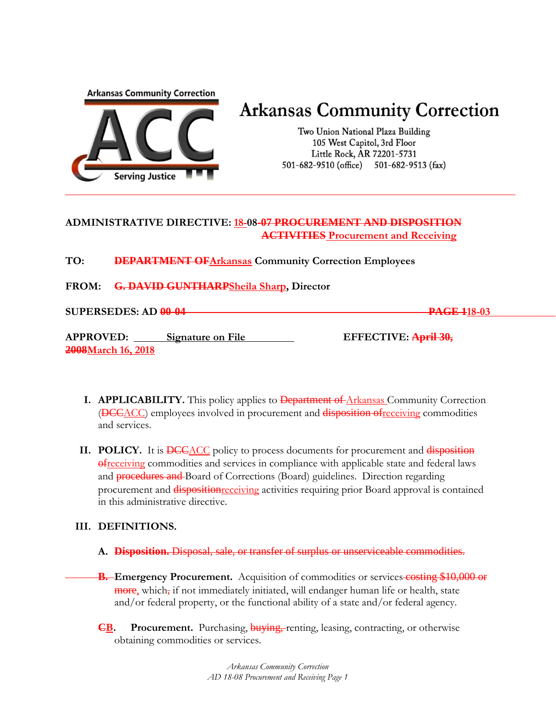**Arkansas Community Correction** 



# **Arkansas Community Correction**

Two Union National Plaza Building 105 West Capitol, 3rd Floor Little Rock, AR 72201-5731 501-682-9510 (office) 501-682-9513 (fax)

## **ADMINISTRATIVE DIRECTIVE: 18-08-07 PROCUREMENT AND DISPOSITION ACTIVITIES Procurement and Receiving**

**TO: DEPARTMENT OFArkansas Community Correction Employees**

**FROM: G. DAVID GUNTHARPSheila Sharp, Director**

**SUPERSEDES: AD 00-04 PAGE 118-03**

**APPROVED: Signature on File EFFECTIVE: April 30, 2008March 16, 2018**

- **I. APPLICABILITY.** This policy applies to **Department of Arkansas Community Correction** (DCCACC) employees involved in procurement and disposition ofreceiving commodities and services.
- **II. POLICY.** It is **DCC**ACC policy to process documents for procurement and disposition ofreceiving commodities and services in compliance with applicable state and federal laws and **procedures and** Board of Corrections (Board) guidelines. Direction regarding procurement and **disposition**receiving activities requiring prior Board approval is contained in this administrative directive.

## **III. DEFINITIONS.**

- **A. Disposition.** Disposal, sale, or transfer of surplus or unserviceable commodities.
- **B.** Emergency Procurement. Acquisition of commodities or services costing \$10,000 or **more**, which, if not immediately initiated, will endanger human life or health, state and/or federal property, or the functional ability of a state and/or federal agency.
- **CB. Procurement.** Purchasing, buying, renting, leasing, contracting, or otherwise obtaining commodities or services.

*Arkansas Community Correction AD 18-08 Procurement and Receiving Page 1*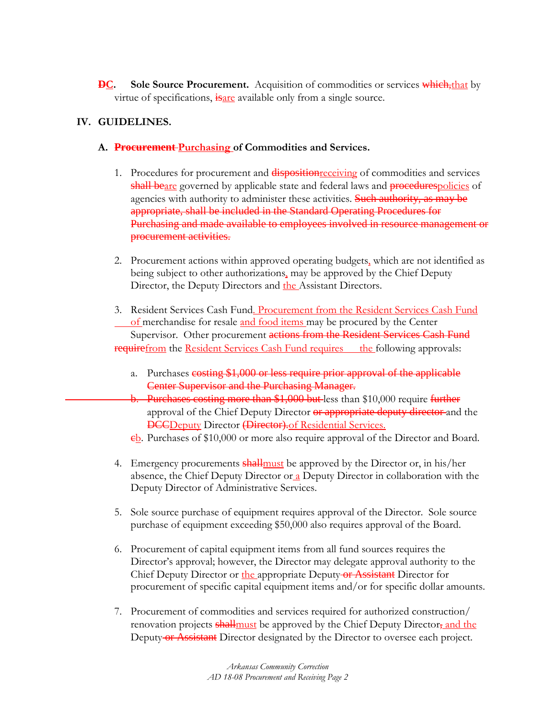**DC.** Sole Source Procurement. Acquisition of commodities or services which, that by virtue of specifications, is are available only from a single source.

## **IV. GUIDELINES.**

- **A. Procurement Purchasing of Commodities and Services.**
	- 1. Procedures for procurement and disposition receiving of commodities and services shall beare governed by applicable state and federal laws and procedurespolicies of agencies with authority to administer these activities. Such authority, as may be appropriate, shall be included in the Standard Operating Procedures for Purchasing and made available to employees involved in resource management or procurement activities.
	- 2. Procurement actions within approved operating budgets, which are not identified as being subject to other authorizations, may be approved by the Chief Deputy Director, the Deputy Directors and the Assistant Directors.
	- 3. Resident Services Cash Fund. Procurement from the Resident Services Cash Fund of merchandise for resale and food items may be procured by the Center Supervisor. Other procurement actions from the Resident Services Cash Fund **require** from the Resident Services Cash Fund requires the following approvals:
		- a. Purchases costing \$1,000 or less require prior approval of the applicable Center Supervisor and the Purchasing Manager.
		- b. Purchases costing more than \$1,000 but less than \$10,000 require further approval of the Chief Deputy Director or appropriate deputy director-and the DCCDeputy Director (Director).of Residential Services.
		- eb. Purchases of \$10,000 or more also require approval of the Director and Board.
	- 4. Emergency procurements shallmust be approved by the Director or, in his/her absence, the Chief Deputy Director or  $\alpha$  Deputy Director in collaboration with the Deputy Director of Administrative Services.
	- 5. Sole source purchase of equipment requires approval of the Director. Sole source purchase of equipment exceeding \$50,000 also requires approval of the Board.
	- 6. Procurement of capital equipment items from all fund sources requires the Director's approval; however, the Director may delegate approval authority to the Chief Deputy Director or the appropriate Deputy or Assistant Director for procurement of specific capital equipment items and/or for specific dollar amounts.
	- 7. Procurement of commodities and services required for authorized construction/ renovation projects shall must be approved by the Chief Deputy Director, and the Deputy or Assistant Director designated by the Director to oversee each project.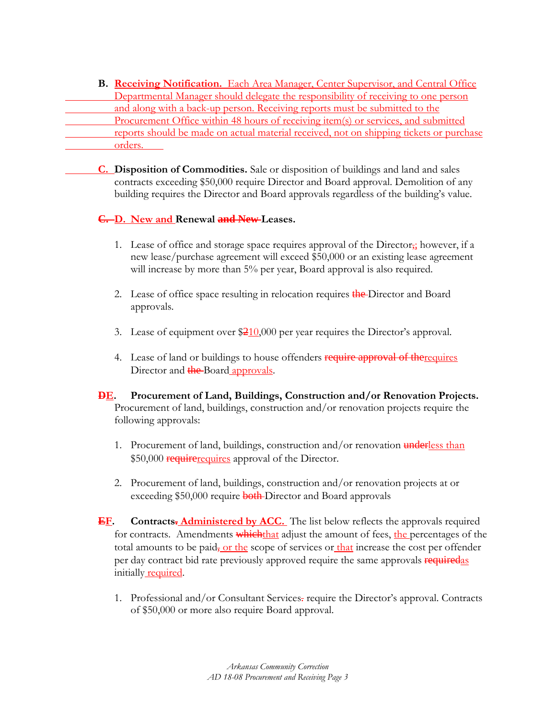**B. Receiving Notification.** Each Area Manager, Center Supervisor, and Central Office Departmental Manager should delegate the responsibility of receiving to one person and along with a back-up person. Receiving reports must be submitted to the Procurement Office within 48 hours of receiving item(s) or services, and submitted reports should be made on actual material received, not on shipping tickets or purchase orders.

**C. Disposition of Commodities.** Sale or disposition of buildings and land and sales contracts exceeding \$50,000 require Director and Board approval. Demolition of any building requires the Director and Board approvals regardless of the building's value.

## **C. D. New and Renewal and New Leases.**

- 1. Lease of office and storage space requires approval of the Director<sub> $\frac{1}{24}$ </sub> however, if a new lease/purchase agreement will exceed \$50,000 or an existing lease agreement will increase by more than 5% per year, Board approval is also required.
- 2. Lease of office space resulting in relocation requires the Director and Board approvals.
- 3. Lease of equipment over  $\frac{$210,000}{2}$  per year requires the Director's approval.
- 4. Lease of land or buildings to house offenders require approval of the requires Director and the Board approvals.
- **DE. Procurement of Land, Buildings, Construction and/or Renovation Projects.** Procurement of land, buildings, construction and/or renovation projects require the following approvals:
	- 1. Procurement of land, buildings, construction and/or renovation underless than \$50,000 require requires approval of the Director.
	- 2. Procurement of land, buildings, construction and/or renovation projects at or exceeding \$50,000 require **both** Director and Board approvals
- **EF. Contracts. Administered by ACC.** The list below reflects the approvals required for contracts. Amendments whichthat adjust the amount of fees, the percentages of the total amounts to be paid, or the scope of services or that increase the cost per offender per day contract bid rate previously approved require the same approvals requiredas initially **required**.
	- 1. Professional and/or Consultant Services. require the Director's approval. Contracts of \$50,000 or more also require Board approval.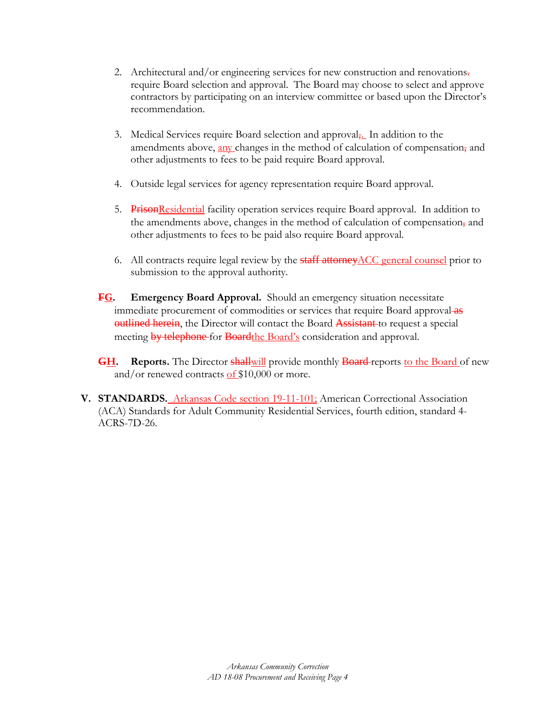- 2. Architectural and/or engineering services for new construction and renovations. require Board selection and approval. The Board may choose to select and approve contractors by participating on an interview committee or based upon the Director's recommendation.
- 3. Medical Services require Board selection and approval<sub>7</sub>. In addition to the amendments above, any changes in the method of calculation of compensation, and other adjustments to fees to be paid require Board approval.
- 4. Outside legal services for agency representation require Board approval.
- 5. PrisonResidential facility operation services require Board approval. In addition to the amendments above, changes in the method of calculation of compensation, and other adjustments to fees to be paid also require Board approval.
- 6. All contracts require legal review by the **staff attorney** ACC general counsel prior to submission to the approval authority.
- **FG. Emergency Board Approval.** Should an emergency situation necessitate immediate procurement of commodities or services that require Board approval as **outlined herein**, the Director will contact the Board **Assistant** to request a special meeting by telephone for Boardthe Board's consideration and approval.
- **GH. Reports.** The Director **shallwill** provide monthly **Board**-reports to the Board of new and/or renewed contracts of  $$10,000$  or more.
- **V. STANDARDS.** Arkansas Code section 19-11-101; American Correctional Association (ACA) Standards for Adult Community Residential Services, fourth edition, standard 4- ACRS-7D-26.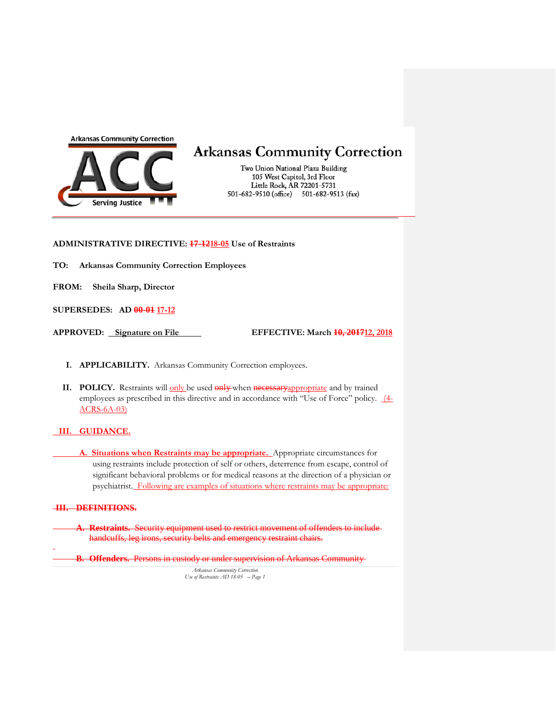

## **Arkansas Community Correction**

Two Union National Plaza Building 105 West Capitol, 3rd Floor Little Rock, AR 72201-5731 501-682-9510 (office) 501-682-9513 (fax)

**ADMINISTRATIVE DIRECTIVE: 17-1218-05 Use of Restraints**

**TO: Arkansas Community Correction Employees**

**FROM: Sheila Sharp, Director**

**SUPERSEDES: AD 00-01 17-12**

**APPROVED: Signature on File EFFECTIVE: March 10, 201712, 2018**

- **I. APPLICABILITY.** Arkansas Community Correction employees.
- **II. POLICY.** Restraints will only be used only when necessary appropriate and by trained employees as prescribed in this directive and in accordance with "Use of Force" policy.  $(4-$ ACRS-6A-03)

#### **III. GUIDANCE.**

**A. Situations when Restraints may be appropriate.** Appropriate circumstances for using restraints include protection of self or others, deterrence from escape, control of significant behavioral problems or for medical reasons at the direction of a physician or psychiatrist. Following are examples of situations where restraints may be appropriate:

#### **III. DEFINITIONS.**

- **A. Restraints.** Security equipment used to restrict movement of offenders to include handcuffs, leg irons, security belts and emergency restraint chairs.
- **B. Offenders.** Persons in custody or under supervision of Arkansas Community

*Arkansas Community Correction Use of Restraints AD 18-05 – Page 1*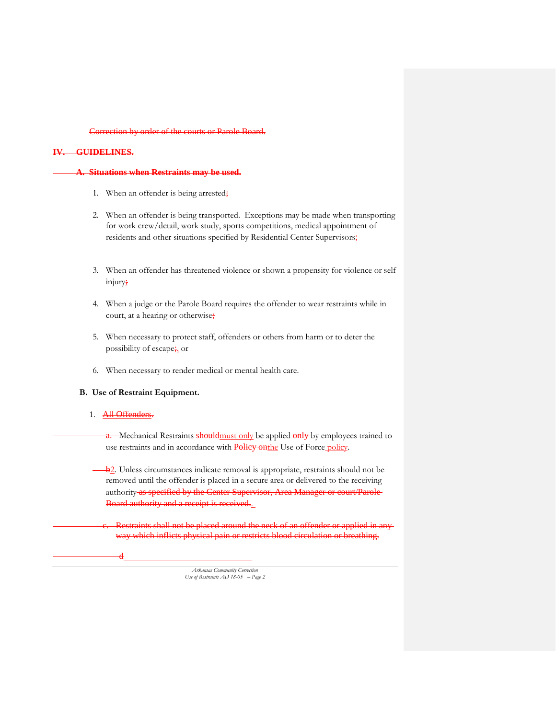#### Correction by order of the courts or Parole Board.

#### **IV. GUIDELINES.**

#### **A. Situations when Restraints may be used.**

- 1. When an offender is being arrested;
- 2. When an offender is being transported. Exceptions may be made when transporting for work crew/detail, work study, sports competitions, medical appointment of residents and other situations specified by Residential Center Supervisors;
- 3. When an offender has threatened violence or shown a propensity for violence or self injury;
- 4. When a judge or the Parole Board requires the offender to wear restraints while in court, at a hearing or otherwise;
- 5. When necessary to protect staff, offenders or others from harm or to deter the possibility of escape; or
- 6. When necessary to render medical or mental health care.

#### **B. Use of Restraint Equipment.**

#### 1. All Offenders.

d

a. Mechanical Restraints should must only be applied only by employees trained to use restraints and in accordance with Policy onthe Use of Force policy.

b<sub>2</sub>. Unless circumstances indicate removal is appropriate, restraints should not be removed until the offender is placed in a secure area or delivered to the receiving authority as specified by the Center Supervisor, Area Manager or court/Parole-Board authority and a receipt is received.

Restraints shall not be placed around the neck of an offender or applied in anyway which inflicts physical pain or restricts blood circulation or breathing.

*Arkansas Community Correction Use of Restraints AD 18-05 – Page 2*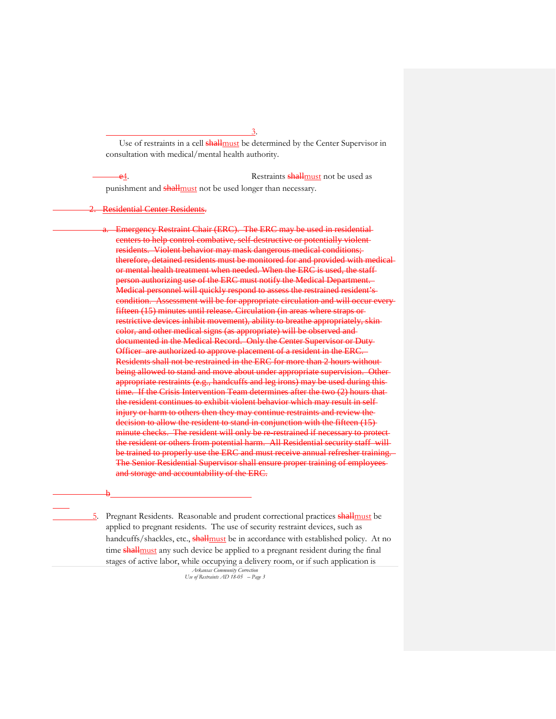Use of restraints in a cell **shall** must be determined by the Center Supervisor in consultation with medical/mental health authority.

e<sub>4</sub>. Restraints **shall** must not be used as punishment and **shall** must not be used longer than necessary.

Residential Center Residents.

Emergency Restraint Chair (ERC). The ERC may be used in residential centers to help control combative, self-destructive or potentially violent residents. Violent behavior may mask dangerous medical conditions; therefore, detained residents must be monitored for and provided with m or mental health treatment when needed. When the ERC is used, the staff son authorizing use of the ERC must notify the Medical Department. Medical personnel will quickly respond to assess the restrained resident's condition. Assessment will be for appropriate circulation and will occur every fifteen (15) minutes until release. Circulation (in areas where straps or restrictive devices inhibit movement), ability to breathe appropriately, skin color, and other medical signs (as appropriate) will be observed and documented in the Medical Record. Only the Center Supervisor or Duty Officer are authorized to approve placement of a resident in the ERC. Residents shall not be restrained in the ERC for more than 2 hours without being allowed to stand and move about under appropriate supervision. Other appropriate restraints (e.g., handcuffs and leg irons) may be used during this time. If the Crisis Intervention Team determines after the two (2) hours that the resident continues to exhibit violent behavior which may result in self injury or harm to others then they may continue restraints and review the decision to allow the resident to stand in conjunction with the fifteen (15)minute checks. The resident will only be re-restrained if necessary to prot the resident or others from potential harm. All Residential security staff will be trained to properly use the ERC and must receive annual refresher training The Senior Residential Supervisor shall ensure proper training of employees and storage and accountability of the ERC.

#### b

5. Pregnant Residents. Reasonable and prudent correctional practices shall must be applied to pregnant residents. The use of security restraint devices, such as handcuffs/shackles, etc., shallmust be in accordance with established policy. At no time shall must any such device be applied to a pregnant resident during the final stages of active labor, while occupying a delivery room, or if such application is

*Arkansas Community Correction Use of Restraints AD 18-05 – Page 3*

3.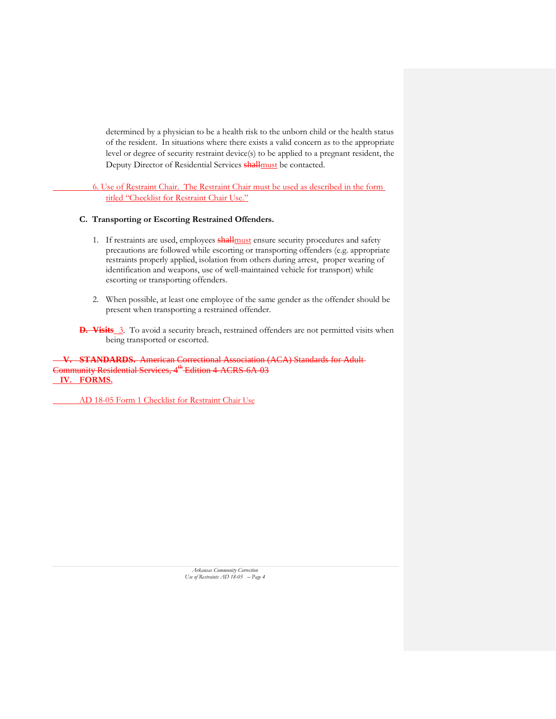determined by a physician to be a health risk to the unborn child or the health status of the resident. In situations where there exists a valid concern as to the appropriate level or degree of security restraint device(s) to be applied to a pregnant resident, the Deputy Director of Residential Services **shall** must be contacted.

6. Use of Restraint Chair. The Restraint Chair must be used as described in the form titled "Checklist for Restraint Chair Use."

#### **C. Transporting or Escorting Restrained Offenders.**

- 1. If restraints are used, employees **shall** must ensure security procedures and safety precautions are followed while escorting or transporting offenders (e.g. appropriate restraints properly applied, isolation from others during arrest, proper wearing of identification and weapons, use of well-maintained vehicle for transport) while escorting or transporting offenders.
- 2. When possible, at least one employee of the same gender as the offender should be present when transporting a restrained offender.
- **D.** Visits 3. To avoid a security breach, restrained offenders are not permitted visits when being transported or escorted.

**V. STANDARDS.** American Correctional Association (ACA) Standards for Adult Community Residential Services, 4<sup>th</sup> Edition 4 ACRS 6A 03 **IV. FORMS.**

AD 18-05 Form 1 Checklist for Restraint Chair Use

*Arkansas Community Correction Use of Restraints AD 18-05 – Page 4*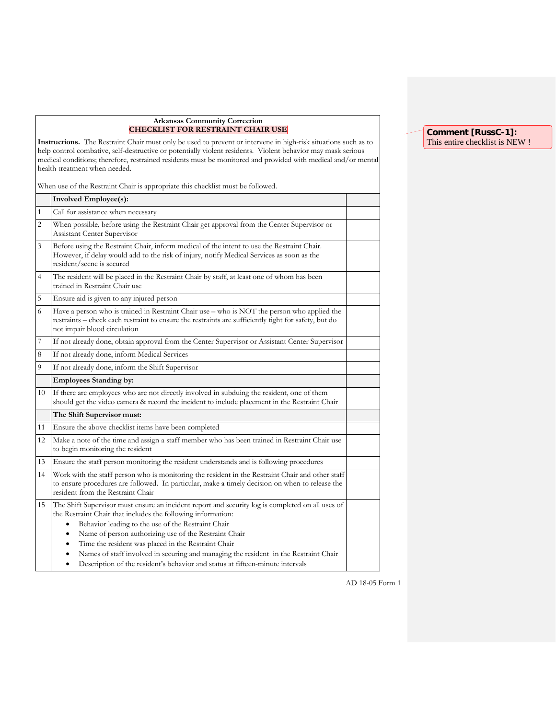#### **Arkansas Community Correction CHECKLIST FOR RESTRAINT CHAIR USE**

**Instructions.** The Restraint Chair must only be used to prevent or intervene in high-risk situations such as to help control combative, self-destructive or potentially violent residents. Violent behavior may mask serious medical conditions; therefore, restrained residents must be monitored and provided with medical and/or mental health treatment when needed.

When use of the Restraint Chair is appropriate this checklist must be followed.

|              | <b>Involved Employee(s):</b>                                                                                                                                                                                                                                                                                                                                                                                                                                                                                                                                |  |
|--------------|-------------------------------------------------------------------------------------------------------------------------------------------------------------------------------------------------------------------------------------------------------------------------------------------------------------------------------------------------------------------------------------------------------------------------------------------------------------------------------------------------------------------------------------------------------------|--|
| $\mathbf{1}$ | Call for assistance when necessary                                                                                                                                                                                                                                                                                                                                                                                                                                                                                                                          |  |
| 2            | When possible, before using the Restraint Chair get approval from the Center Supervisor or<br>Assistant Center Supervisor                                                                                                                                                                                                                                                                                                                                                                                                                                   |  |
| 3            | Before using the Restraint Chair, inform medical of the intent to use the Restraint Chair.<br>However, if delay would add to the risk of injury, notify Medical Services as soon as the<br>resident/scene is secured                                                                                                                                                                                                                                                                                                                                        |  |
| 4            | The resident will be placed in the Restraint Chair by staff, at least one of whom has been<br>trained in Restraint Chair use                                                                                                                                                                                                                                                                                                                                                                                                                                |  |
| 5            | Ensure aid is given to any injured person                                                                                                                                                                                                                                                                                                                                                                                                                                                                                                                   |  |
| 6            | Have a person who is trained in Restraint Chair use - who is NOT the person who applied the<br>restraints - check each restraint to ensure the restraints are sufficiently tight for safety, but do<br>not impair blood circulation                                                                                                                                                                                                                                                                                                                         |  |
| 7            | If not already done, obtain approval from the Center Supervisor or Assistant Center Supervisor                                                                                                                                                                                                                                                                                                                                                                                                                                                              |  |
| 8            | If not already done, inform Medical Services                                                                                                                                                                                                                                                                                                                                                                                                                                                                                                                |  |
| 9            | If not already done, inform the Shift Supervisor                                                                                                                                                                                                                                                                                                                                                                                                                                                                                                            |  |
|              | <b>Employees Standing by:</b>                                                                                                                                                                                                                                                                                                                                                                                                                                                                                                                               |  |
| 10           | If there are employees who are not directly involved in subduing the resident, one of them<br>should get the video camera & record the incident to include placement in the Restraint Chair                                                                                                                                                                                                                                                                                                                                                                 |  |
|              | The Shift Supervisor must:                                                                                                                                                                                                                                                                                                                                                                                                                                                                                                                                  |  |
| 11           | Ensure the above checklist items have been completed                                                                                                                                                                                                                                                                                                                                                                                                                                                                                                        |  |
| 12           | Make a note of the time and assign a staff member who has been trained in Restraint Chair use<br>to begin monitoring the resident                                                                                                                                                                                                                                                                                                                                                                                                                           |  |
| 13           | Ensure the staff person monitoring the resident understands and is following procedures                                                                                                                                                                                                                                                                                                                                                                                                                                                                     |  |
| 14           | Work with the staff person who is monitoring the resident in the Restraint Chair and other staff<br>to ensure procedures are followed. In particular, make a timely decision on when to release the<br>resident from the Restraint Chair                                                                                                                                                                                                                                                                                                                    |  |
| 15           | The Shift Supervisor must ensure an incident report and security log is completed on all uses of<br>the Restraint Chair that includes the following information:<br>Behavior leading to the use of the Restraint Chair<br>Name of person authorizing use of the Restraint Chair<br>$\bullet$<br>Time the resident was placed in the Restraint Chair<br>٠<br>Names of staff involved in securing and managing the resident in the Restraint Chair<br>$\bullet$<br>Description of the resident's behavior and status at fifteen-minute intervals<br>$\bullet$ |  |

#### **Comment [RussC-1]:**  This entire checklist is NEW !

AD 18-05 Form 1